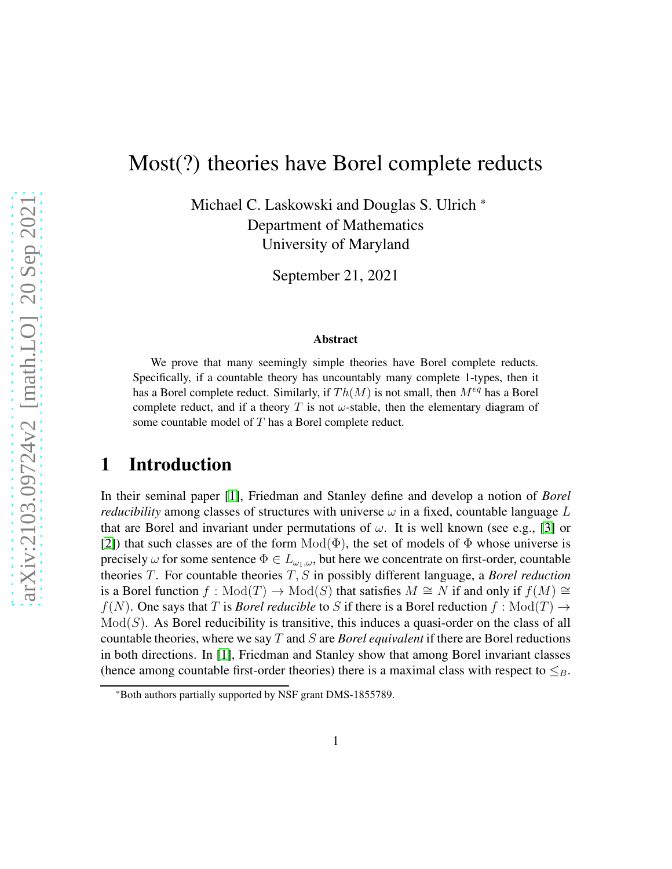# Most(?) theories have Borel complete reducts

Michael C. Laskowski and Douglas S. Ulrich \* Department of Mathematics University of Maryland

September 21, 2021

#### Abstract

We prove that many seemingly simple theories have Borel complete reducts. Specifically, if a countable theory has uncountably many complete 1-types, then it has a Borel complete reduct. Similarly, if  $Th(M)$  is not small, then  $M^{eq}$  has a Borel complete reduct, and if a theory T is not  $\omega$ -stable, then the elementary diagram of some countable model of T has a Borel complete reduct.

#### 1 Introduction

In their seminal paper [\[1\]](#page-10-0), Friedman and Stanley define and develop a notion of *Borel reducibility* among classes of structures with universe  $\omega$  in a fixed, countable language L that are Borel and invariant under permutations of  $\omega$ . It is well known (see e.g., [\[3\]](#page-10-1) or [\[2\]](#page-10-2)) that such classes are of the form  $Mod(\Phi)$ , the set of models of  $\Phi$  whose universe is precisely  $\omega$  for some sentence  $\Phi \in L_{\omega_1,\omega}$ , but here we concentrate on first-order, countable theories T. For countable theories T, S in possibly different language, a *Borel reduction* is a Borel function  $f: Mod(T) \to Mod(S)$  that satisfies  $M \cong N$  if and only if  $f(M) \cong$  $f(N)$ . One says that T is *Borel reducible* to S if there is a Borel reduction  $f : Mod(T) \rightarrow$  $Mod(S)$ . As Borel reducibility is transitive, this induces a quasi-order on the class of all countable theories, where we say T and S are *Borel equivalent* if there are Borel reductions in both directions. In [\[1\]](#page-10-0), Friedman and Stanley show that among Borel invariant classes (hence among countable first-order theories) there is a maximal class with respect to  $\leq_B$ .

<sup>\*</sup>Both authors partially supported by NSF grant DMS-1855789.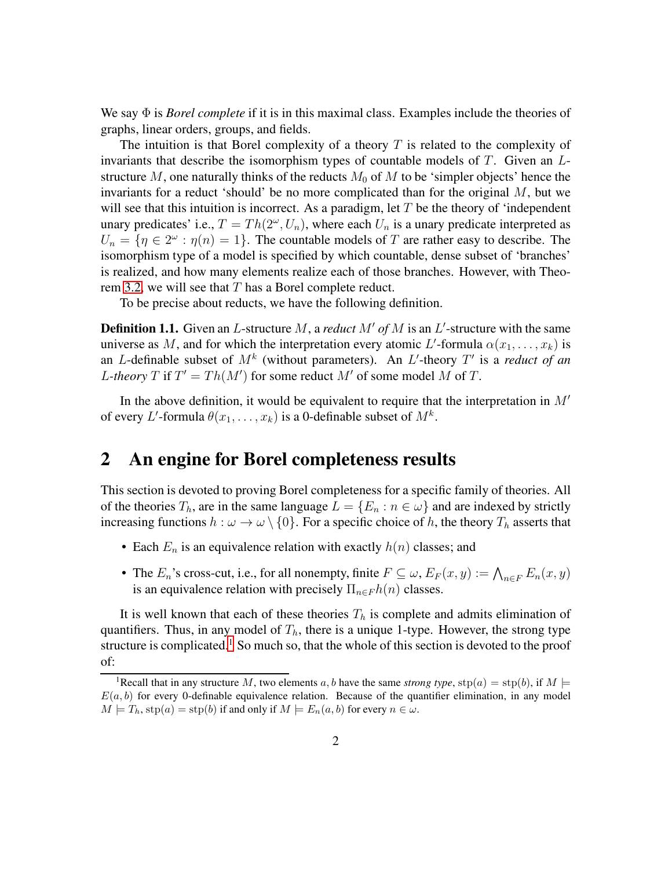We say Φ is *Borel complete* if it is in this maximal class. Examples include the theories of graphs, linear orders, groups, and fields.

The intuition is that Borel complexity of a theory  $T$  is related to the complexity of invariants that describe the isomorphism types of countable models of  $T$ . Given an  $L$ structure M, one naturally thinks of the reducts  $M_0$  of M to be 'simpler objects' hence the invariants for a reduct 'should' be no more complicated than for the original  $M$ , but we will see that this intuition is incorrect. As a paradigm, let  $T$  be the theory of 'independent unary predicates' i.e.,  $T = Th(2^{\omega}, U_n)$ , where each  $U_n$  is a unary predicate interpreted as  $U_n = \{ \eta \in 2^{\omega} : \eta(n) = 1 \}.$  The countable models of T are rather easy to describe. The isomorphism type of a model is specified by which countable, dense subset of 'branches' is realized, and how many elements realize each of those branches. However, with Theo-rem [3.2,](#page-6-0) we will see that  $T$  has a Borel complete reduct.

To be precise about reducts, we have the following definition.

**Definition 1.1.** Given an L-structure M, a *reduct*  $M'$  of M is an L'-structure with the same universe as M, and for which the interpretation every atomic L'-formula  $\alpha(x_1, \ldots, x_k)$  is an *L*-definable subset of  $M^k$  (without parameters). An *L'*-theory  $T'$  is a *reduct of an L*-theory T if  $T' = Th(M')$  for some reduct M' of some model M of T.

In the above definition, it would be equivalent to require that the interpretation in  $M'$ of every L'-formula  $\theta(x_1, \ldots, x_k)$  is a 0-definable subset of  $M^k$ .

### 2 An engine for Borel completeness results

This section is devoted to proving Borel completeness for a specific family of theories. All of the theories  $T_h$ , are in the same language  $L = \{E_n : n \in \omega\}$  and are indexed by strictly increasing functions  $h : \omega \to \omega \setminus \{0\}$ . For a specific choice of h, the theory  $T_h$  asserts that

- Each  $E_n$  is an equivalence relation with exactly  $h(n)$  classes; and
- The  $E_n$ 's cross-cut, i.e., for all nonempty, finite  $F \subseteq \omega$ ,  $E_F(x, y) := \bigwedge_{n \in F} E_n(x, y)$ is an equivalence relation with precisely  $\Pi_{n \in F} h(n)$  classes.

It is well known that each of these theories  $T<sub>h</sub>$  is complete and admits elimination of quantifiers. Thus, in any model of  $T<sub>h</sub>$ , there is a unique 1-type. However, the strong type structure is complicated.<sup>[1](#page-1-0)</sup> So much so, that the whole of this section is devoted to the proof of:

<span id="page-1-0"></span><sup>&</sup>lt;sup>1</sup>Recall that in any structure M, two elements a, b have the same *strong type*,  $\text{stp}(a) = \text{stp}(b)$ , if  $M \models$  $E(a, b)$  for every 0-definable equivalence relation. Because of the quantifier elimination, in any model  $M \models T_h, \text{stp}(a) = \text{stp}(b)$  if and only if  $M \models E_n(a, b)$  for every  $n \in \omega$ .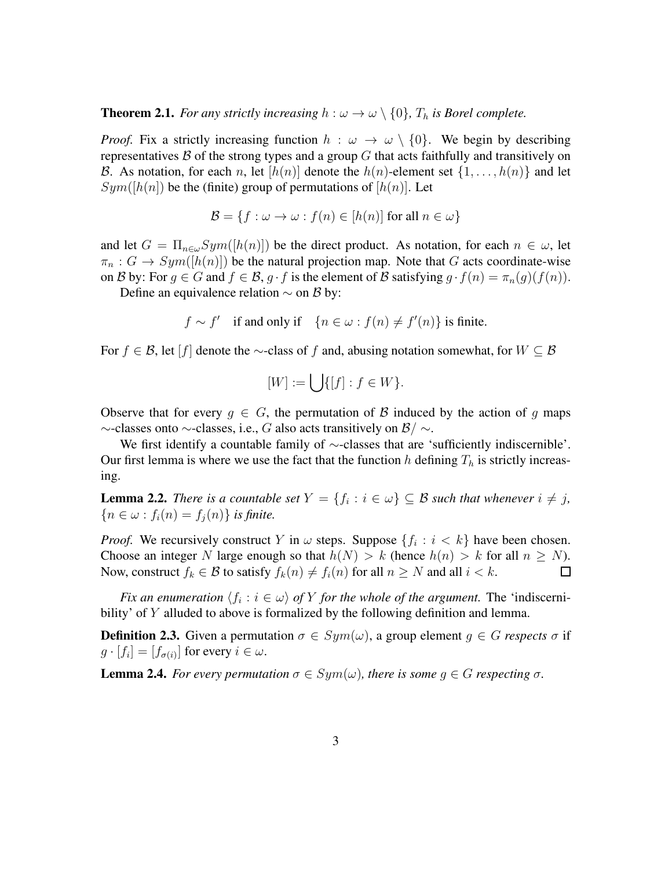<span id="page-2-3"></span>**Theorem 2.1.** *For any strictly increasing*  $h : \omega \to \omega \setminus \{0\}$ ,  $T_h$  *is Borel complete.* 

*Proof.* Fix a strictly increasing function  $h : \omega \to \omega \setminus \{0\}$ . We begin by describing representatives  $\beta$  of the strong types and a group G that acts faithfully and transitively on B. As notation, for each n, let  $[h(n)]$  denote the  $h(n)$ -element set  $\{1, \ldots, h(n)\}$  and let  $Sym([h(n])$  be the (finite) group of permutations of  $[h(n)]$ . Let

$$
\mathcal{B} = \{ f : \omega \to \omega : f(n) \in [h(n)] \text{ for all } n \in \omega \}
$$

and let  $G = \prod_{n \in \omega} Sym([h(n)])$  be the direct product. As notation, for each  $n \in \omega$ , let  $\pi_n$ :  $G \to Sym([h(n)])$  be the natural projection map. Note that G acts coordinate-wise on B by: For  $g \in G$  and  $f \in \mathcal{B}$ ,  $g \cdot f$  is the element of B satisfying  $g \cdot f(n) = \pi_n(g)(f(n))$ .

Define an equivalence relation  $\sim$  on B by:

$$
f \sim f'
$$
 if and only if  $\{n \in \omega : f(n) \neq f'(n)\}$  is finite.

For  $f \in \mathcal{B}$ , let  $[f]$  denote the ∼-class of f and, abusing notation somewhat, for  $W \subseteq \mathcal{B}$ 

$$
[W] := \bigcup \{ [f] : f \in W \}.
$$

Observe that for every  $g \in G$ , the permutation of B induced by the action of g maps  $\sim$ -classes onto  $\sim$ -classes, i.e., G also acts transitively on  $\mathcal{B}/\sim$ .

We first identify a countable family of ∼-classes that are 'sufficiently indiscernible'. Our first lemma is where we use the fact that the function h defining  $T_h$  is strictly increasing.

<span id="page-2-0"></span>**Lemma 2.2.** *There is a countable set*  $Y = \{f_i : i \in \omega\} \subseteq B$  *such that whenever*  $i \neq j$ *,*  ${n \in \omega : f_i(n) = f_i(n)}$  *is finite.* 

*Proof.* We recursively construct Y in  $\omega$  steps. Suppose  $\{f_i : i < k\}$  have been chosen. Choose an integer N large enough so that  $h(N) > k$  (hence  $h(n) > k$  for all  $n > N$ ). Now, construct  $f_k \in \mathcal{B}$  to satisfy  $f_k(n) \neq f_i(n)$  for all  $n \geq N$  and all  $i < k$ . П

*Fix an enumeration*  $\langle f_i : i \in \omega \rangle$  *of* Y *for the whole of the argument.* The 'indiscernibility' of Y alluded to above is formalized by the following definition and lemma.

<span id="page-2-2"></span>**Definition 2.3.** Given a permutation  $\sigma \in Sym(\omega)$ , a group element  $q \in G$  *respects*  $\sigma$  if  $g \cdot [f_i] = [f_{\sigma(i)}]$  for every  $i \in \omega$ .

<span id="page-2-1"></span>**Lemma 2.4.** *For every permutation*  $\sigma \in Sym(\omega)$ *, there is some*  $g \in G$  *respecting*  $\sigma$ *.*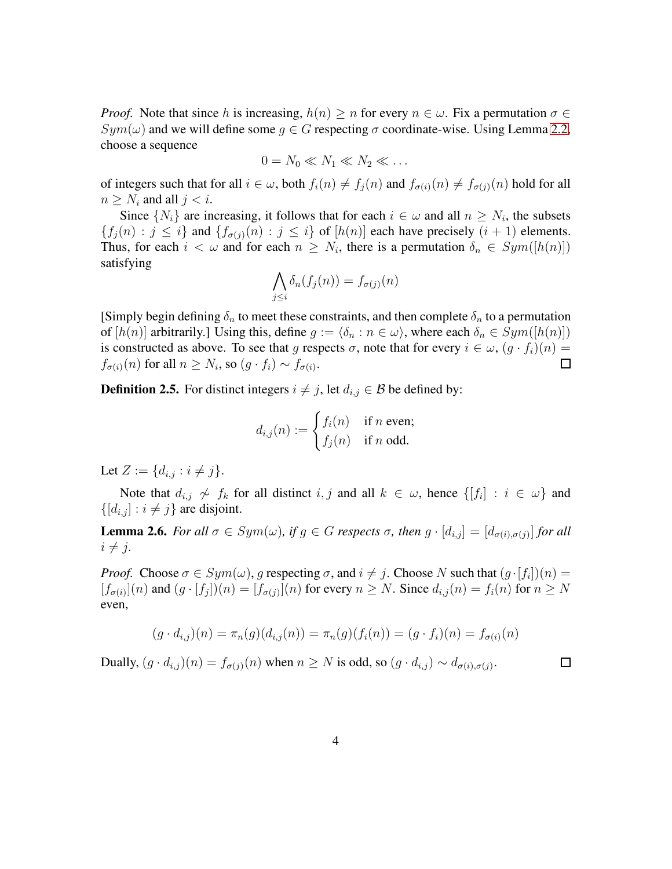*Proof.* Note that since h is increasing,  $h(n) \geq n$  for every  $n \in \omega$ . Fix a permutation  $\sigma \in$  $Sym(\omega)$  and we will define some  $g \in G$  respecting  $\sigma$  coordinate-wise. Using Lemma [2.2,](#page-2-0) choose a sequence

$$
0 = N_0 \ll N_1 \ll N_2 \ll \dots
$$

of integers such that for all  $i \in \omega$ , both  $f_i(n) \neq f_j(n)$  and  $f_{\sigma(i)}(n) \neq f_{\sigma(j)}(n)$  hold for all  $n > N_i$  and all  $j < i$ .

Since  $\{N_i\}$  are increasing, it follows that for each  $i \in \omega$  and all  $n \geq N_i$ , the subsets  ${f_j(n) : j \leq i}$  and  ${f_{\sigma(j)}(n) : j \leq i}$  of  $[h(n)]$  each have precisely  $(i + 1)$  elements. Thus, for each  $i < \omega$  and for each  $n \geq N_i$ , there is a permutation  $\delta_n \in Sym([h(n)])$ satisfying

$$
\bigwedge_{j\leq i}\delta_n(f_j(n))=f_{\sigma(j)}(n)
$$

[Simply begin defining  $\delta_n$  to meet these constraints, and then complete  $\delta_n$  to a permutation of  $[h(n)]$  arbitrarily.] Using this, define  $g := \langle \delta_n : n \in \omega \rangle$ , where each  $\delta_n \in Sym([h(n)])$ is constructed as above. To see that g respects  $\sigma$ , note that for every  $i \in \omega$ ,  $(g \cdot f_i)(n) =$  $f_{\sigma(i)}(n)$  for all  $n \geq N_i$ , so  $(g \cdot f_i) \sim f_{\sigma(i)}$ .  $\Box$ 

**Definition 2.5.** For distinct integers  $i \neq j$ , let  $d_{i,j} \in \mathcal{B}$  be defined by:

$$
d_{i,j}(n) := \begin{cases} f_i(n) & \text{if } n \text{ even;} \\ f_j(n) & \text{if } n \text{ odd.} \end{cases}
$$

Let  $Z := \{d_{i,j} : i \neq j\}.$ 

Note that  $d_{i,j} \nless f_k$  for all distinct  $i, j$  and all  $k \in \omega$ , hence  $\{[f_i] : i \in \omega\}$  and  $\{[d_{i,j} ] : i \neq j\}$  are disjoint.

<span id="page-3-0"></span>**Lemma 2.6.** For all  $\sigma \in Sym(\omega)$ , if  $g \in G$  respects  $\sigma$ , then  $g \cdot [d_{i,j}] = [d_{\sigma(i),\sigma(j)}]$  for all  $i \neq j$ .

*Proof.* Choose  $\sigma \in Sym(\omega)$ , g respecting  $\sigma$ , and  $i \neq j$ . Choose N such that  $(g \cdot [f_i])(n) =$  $[f_{\sigma(i)}](n)$  and  $(g \cdot [f_j])(n) = [f_{\sigma(j)}](n)$  for every  $n \geq N$ . Since  $d_{i,j}(n) = f_i(n)$  for  $n \geq N$ even,

$$
(g \cdot d_{i,j})(n) = \pi_n(g)(d_{i,j}(n)) = \pi_n(g)(f_i(n)) = (g \cdot f_i)(n) = f_{\sigma(i)}(n)
$$

 $\Box$ 

Dually,  $(g \cdot d_{i,j})(n) = f_{\sigma(j)}(n)$  when  $n \ge N$  is odd, so  $(g \cdot d_{i,j}) \sim d_{\sigma(i), \sigma(j)}$ .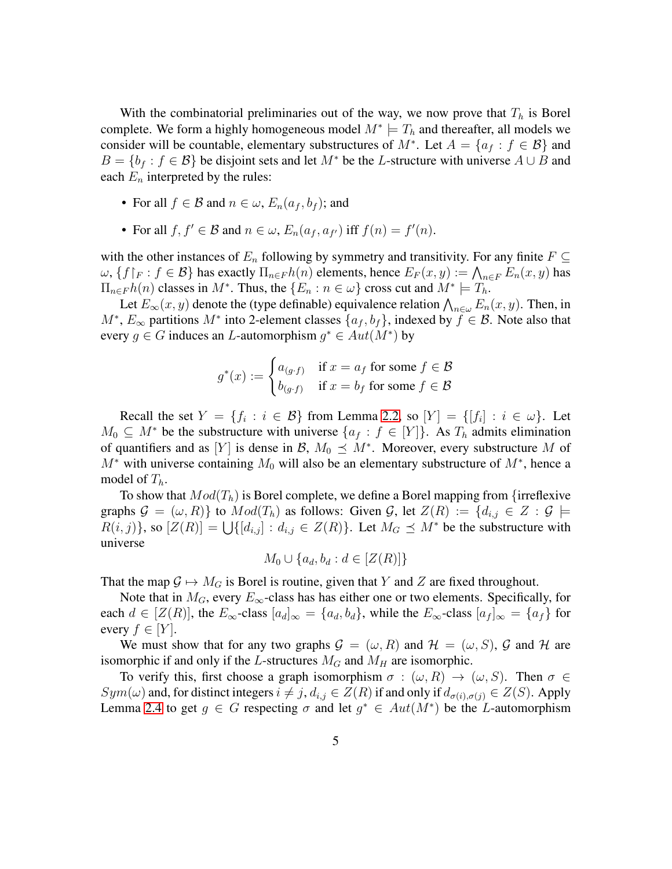With the combinatorial preliminaries out of the way, we now prove that  $T_h$  is Borel complete. We form a highly homogeneous model  $M^* \models T_h$  and thereafter, all models we consider will be countable, elementary substructures of  $M^*$ . Let  $A = \{a_f : f \in \mathcal{B}\}\$ and  $B = \{b_f : f \in \mathcal{B}\}\$ be disjoint sets and let  $M^*$  be the L-structure with universe  $A \cup B$  and each  $E_n$  interpreted by the rules:

- For all  $f \in \mathcal{B}$  and  $n \in \omega$ ,  $E_n(a_f, b_f)$ ; and
- For all  $f, f' \in \mathcal{B}$  and  $n \in \omega$ ,  $E_n(a_f, a_{f'})$  iff  $f(n) = f'(n)$ .

with the other instances of  $E_n$  following by symmetry and transitivity. For any finite  $F \subseteq$  $\omega$ ,  $\{f\vert_F : f \in \mathcal{B}\}$  has exactly  $\Pi_{n \in F} h(n)$  elements, hence  $E_F(x, y) := \bigwedge_{n \in F} E_n(x, y)$  has  $\Pi_{n \in F} h(n)$  classes in  $M^*$ . Thus, the  $\{E_n : n \in \omega\}$  cross cut and  $M^* \models T_h$ .

Let  $E_{\infty}(x, y)$  denote the (type definable) equivalence relation  $\bigwedge_{n \in \omega} E_n(x, y)$ . Then, in  $M^*$ ,  $E_{\infty}$  partitions  $M^*$  into 2-element classes  $\{a_f, b_f\}$ , indexed by  $f \in \mathcal{B}$ . Note also that every  $g \in G$  induces an *L*-automorphism  $g^* \in Aut(M^*)$  by

$$
g^*(x) := \begin{cases} a_{(g \cdot f)} & \text{if } x = a_f \text{ for some } f \in \mathcal{B} \\ b_{(g \cdot f)} & \text{if } x = b_f \text{ for some } f \in \mathcal{B} \end{cases}
$$

Recall the set  $Y = \{f_i : i \in \mathcal{B}\}$  from Lemma [2.2,](#page-2-0) so  $[Y] = \{[f_i] : i \in \omega\}$ . Let  $M_0 \subseteq M^*$  be the substructure with universe  $\{a_f : f \in [Y]\}\$ . As  $T_h$  admits elimination of quantifiers and as [Y] is dense in  $\mathcal{B}, M_0 \preceq M^*$ . Moreover, every substructure M of  $M^*$  with universe containing  $M_0$  will also be an elementary substructure of  $M^*$ , hence a model of  $T_h$ .

To show that  $Mod(T_h)$  is Borel complete, we define a Borel mapping from {irreflexive graphs  $\mathcal{G} = (\omega, R)$  to  $Mod(T_h)$  as follows: Given  $\mathcal{G}$ , let  $Z(R) := \{d_{i,j} \in Z : \mathcal{G} \models$  $R(i, j)$ , so  $[Z(R)] = \bigcup \{ [d_{i,j}] : d_{i,j} \in Z(R) \}$ . Let  $M_G \preceq M^*$  be the substructure with universe

$$
M_0 \cup \{a_d, b_d : d \in [Z(R)]\}
$$

That the map  $G \mapsto M_G$  is Borel is routine, given that Y and Z are fixed throughout.

Note that in  $M_G$ , every  $E_\infty$ -class has has either one or two elements. Specifically, for each  $d \in [Z(R)]$ , the  $E_{\infty}$ -class  $[a_d]_{\infty} = \{a_d, b_d\}$ , while the  $E_{\infty}$ -class  $[a_f]_{\infty} = \{a_f\}$  for every  $f \in [Y]$ .

We must show that for any two graphs  $\mathcal{G} = (\omega, R)$  and  $\mathcal{H} = (\omega, S)$ ,  $\mathcal{G}$  and  $\mathcal{H}$  are isomorphic if and only if the L-structures  $M_G$  and  $M_H$  are isomorphic.

To verify this, first choose a graph isomorphism  $\sigma : (\omega, R) \to (\omega, S)$ . Then  $\sigma \in$  $Sym(\omega)$  and, for distinct integers  $i \neq j$ ,  $d_{i,j} \in Z(R)$  if and only if  $d_{\sigma(i),\sigma(j)} \in Z(S)$ . Apply Lemma [2.4](#page-2-1) to get  $g \in G$  respecting  $\sigma$  and let  $g^* \in Aut(M^*)$  be the *L*-automorphism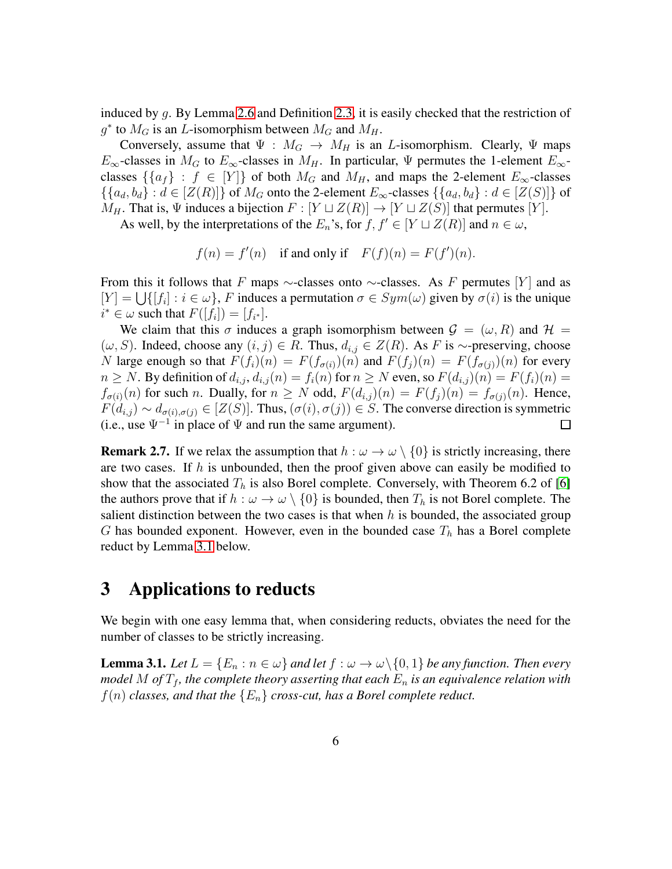induced by g. By Lemma [2.6](#page-3-0) and Definition [2.3,](#page-2-2) it is easily checked that the restriction of  $g^*$  to  $M_G$  is an *L*-isomorphism between  $M_G$  and  $M_H$ .

Conversely, assume that  $\Psi : M_G \to M_H$  is an *L*-isomorphism. Clearly,  $\Psi$  maps  $E_{\infty}$ -classes in  $M_G$  to  $E_{\infty}$ -classes in  $M_H$ . In particular,  $\Psi$  permutes the 1-element  $E_{\infty}$ classes  $\{\{a_f\} : f \in [Y]\}$  of both  $M_G$  and  $M_H$ , and maps the 2-element  $E_{\infty}$ -classes  $\{\{a_d, b_d\} : d \in [Z(R)]\}$  of  $M_G$  onto the 2-element  $E_\infty$ -classes  $\{\{a_d, b_d\} : d \in [Z(S)]\}$  of  $M_H$ . That is,  $\Psi$  induces a bijection  $F : [Y \sqcup Z(R)] \to [Y \sqcup Z(S)]$  that permutes  $[Y]$ .

As well, by the interpretations of the  $E_n$ 's, for  $f, f' \in [Y \sqcup Z(R)]$  and  $n \in \omega$ ,

$$
f(n) = f'(n)
$$
 if and only if  $F(f)(n) = F(f')(n)$ .

From this it follows that F maps  $\sim$ -classes onto  $\sim$ -classes. As F permutes [Y] and as  $[Y] = \bigcup \{ [f_i] : i \in \omega \}, F$  induces a permutation  $\sigma \in Sym(\omega)$  given by  $\sigma(i)$  is the unique  $i^* \in \omega$  such that  $F([f_i]) = [f_{i^*}].$ 

We claim that this  $\sigma$  induces a graph isomorphism between  $\mathcal{G} = (\omega, R)$  and  $\mathcal{H} =$  $(\omega, S)$ . Indeed, choose any  $(i, j) \in R$ . Thus,  $d_{i,j} \in Z(R)$ . As F is ∼-preserving, choose N large enough so that  $F(f_i)(n) = F(f_{\sigma(i)})(n)$  and  $F(f_i)(n) = F(f_{\sigma(j)})(n)$  for every  $n \geq N$ . By definition of  $d_{i,j}$ ,  $d_{i,j}(n) = f_i(n)$  for  $n \geq N$  even, so  $F(d_{i,j})(n) = F(f_i)(n) =$  $f_{\sigma(i)}(n)$  for such n. Dually, for  $n \geq N$  odd,  $F(d_{i,j})(n) = F(f_i)(n) = f_{\sigma(j)}(n)$ . Hence,  $F(d_{i,j}) \sim d_{\sigma(i),\sigma(j)} \in [Z(S)]$ . Thus,  $(\sigma(i), \sigma(j)) \in S$ . The converse direction is symmetric (i.e., use  $\Psi^{-1}$  in place of  $\Psi$  and run the same argument). □

**Remark 2.7.** If we relax the assumption that  $h : \omega \to \omega \setminus \{0\}$  is strictly increasing, there are two cases. If  $h$  is unbounded, then the proof given above can easily be modified to show that the associated  $T_h$  is also Borel complete. Conversely, with Theorem 6.2 of [\[6\]](#page-10-3) the authors prove that if  $h : \omega \to \omega \setminus \{0\}$  is bounded, then  $T_h$  is not Borel complete. The salient distinction between the two cases is that when  $h$  is bounded, the associated group G has bounded exponent. However, even in the bounded case  $T_h$  has a Borel complete reduct by Lemma [3.1](#page-5-0) below.

# 3 Applications to reducts

We begin with one easy lemma that, when considering reducts, obviates the need for the number of classes to be strictly increasing.

<span id="page-5-0"></span>**Lemma 3.1.** *Let*  $L = \{E_n : n \in \omega\}$  *and let*  $f : \omega \to \omega \setminus \{0, 1\}$  *be any function. Then every model* M of  $T_f$ , the complete theory asserting that each  $E_n$  is an equivalence relation with  $f(n)$  *classes, and that the*  ${E_n}$  *cross-cut, has a Borel complete reduct.*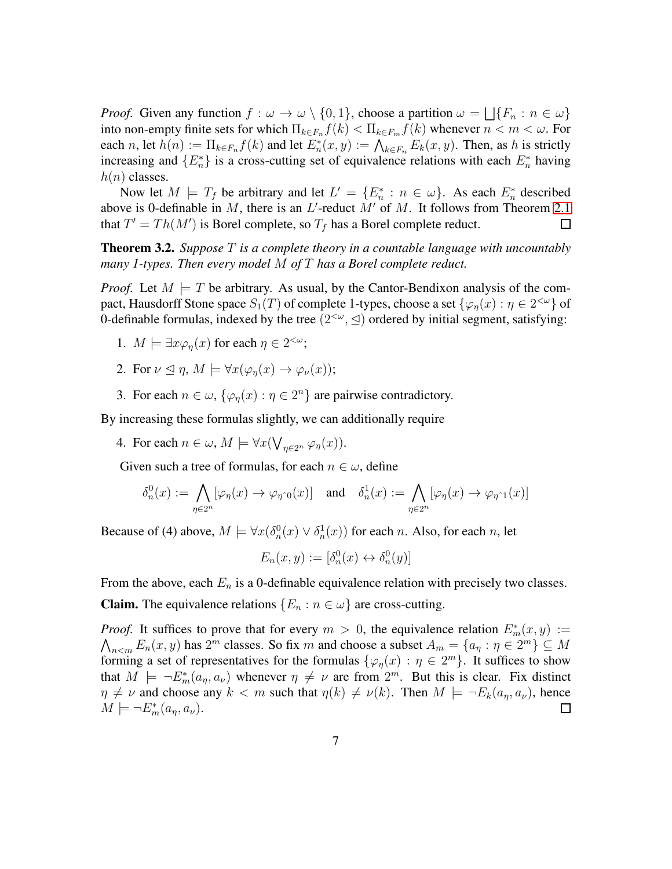*Proof.* Given any function  $f : \omega \to \omega \setminus \{0, 1\}$ , choose a partition  $\omega = \bigsqcup \{F_n : n \in \omega\}$ into non-empty finite sets for which  $\Pi_{k \in F_n} f(k) < \Pi_{k \in F_m} f(k)$  whenever  $n < m < \omega$ . For each n, let  $h(n) := \prod_{k \in F_n} f(k)$  and let  $E_n^*(x, y) := \bigwedge_{k \in F_n} E_k(x, y)$ . Then, as h is strictly increasing and  $\{E_n^*\}$  is a cross-cutting set of equivalence relations with each  $E_n^*$  having  $h(n)$  classes.

Now let  $M \models T_f$  be arbitrary and let  $L' = \{E_n^* : n \in \omega\}$ . As each  $E_n^*$  described above is 0-definable in M, there is an  $L'$ -reduct  $M'$  of M. It follows from Theorem [2.1](#page-2-3) that  $T' = Th(M')$  is Borel complete, so  $T_f$  has a Borel complete reduct.  $\Box$ 

<span id="page-6-0"></span>Theorem 3.2. *Suppose* T *is a complete theory in a countable language with uncountably many 1-types. Then every model* M *of* T *has a Borel complete reduct.*

*Proof.* Let  $M \models T$  be arbitrary. As usual, by the Cantor-Bendixon analysis of the compact, Hausdorff Stone space  $S_1(T)$  of complete 1-types, choose a set  $\{\varphi_\eta(x): \eta \in 2^{<\omega}\}$  of 0-definable formulas, indexed by the tree  $(2<sup>{\omega}</sup>$ ,  $\leq)$  ordered by initial segment, satisfying:

- 1.  $M \models \exists x \varphi_{\eta}(x)$  for each  $\eta \in 2^{<\omega}$ ;
- 2. For  $\nu \leq \eta$ ,  $M \models \forall x (\varphi_n(x) \to \varphi_\nu(x));$
- 3. For each  $n \in \omega$ ,  $\{\varphi_n(x) : \eta \in 2^n\}$  are pairwise contradictory.

By increasing these formulas slightly, we can additionally require

4. For each  $n \in \omega$ ,  $M \models \forall x (\bigvee_{\eta \in 2^n} \varphi_{\eta}(x))$ .

Given such a tree of formulas, for each  $n \in \omega$ , define

$$
\delta_n^0(x) := \bigwedge_{\eta \in 2^n} [\varphi_\eta(x) \to \varphi_{\eta \cap 0}(x)] \quad \text{and} \quad \delta_n^1(x) := \bigwedge_{\eta \in 2^n} [\varphi_\eta(x) \to \varphi_{\eta \cap 1}(x)]
$$

Because of (4) above,  $M \models \forall x (\delta_n^0(x) \lor \delta_n^1(x))$  for each n. Also, for each n, let

$$
E_n(x, y) := [\delta_n^0(x) \leftrightarrow \delta_n^0(y)]
$$

From the above, each  $E_n$  is a 0-definable equivalence relation with precisely two classes.

**Claim.** The equivalence relations  $\{E_n : n \in \omega\}$  are cross-cutting.

*Proof.* It suffices to prove that for every  $m > 0$ , the equivalence relation  $E_m^*(x, y) :=$  $\bigwedge_{n \le m} E_n(x, y)$  has  $2^m$  classes. So fix m and choose a subset  $A_m = \{a_n : n \in 2^m\} \subseteq M$ forming a set of representatives for the formulas  $\{\varphi_{\eta}(x) : \eta \in 2^{m}\}\$ . It suffices to show that  $M \models \neg E_m^*(a_\eta, a_\nu)$  whenever  $\eta \neq \nu$  are from  $2^m$ . But this is clear. Fix distinct  $\eta \neq \nu$  and choose any  $k < m$  such that  $\eta(k) \neq \nu(k)$ . Then  $M \models \neg E_k(a_n, a_\nu)$ , hence  $M \models \neg E_m^*(a_\eta, a_\nu).$  $\Box$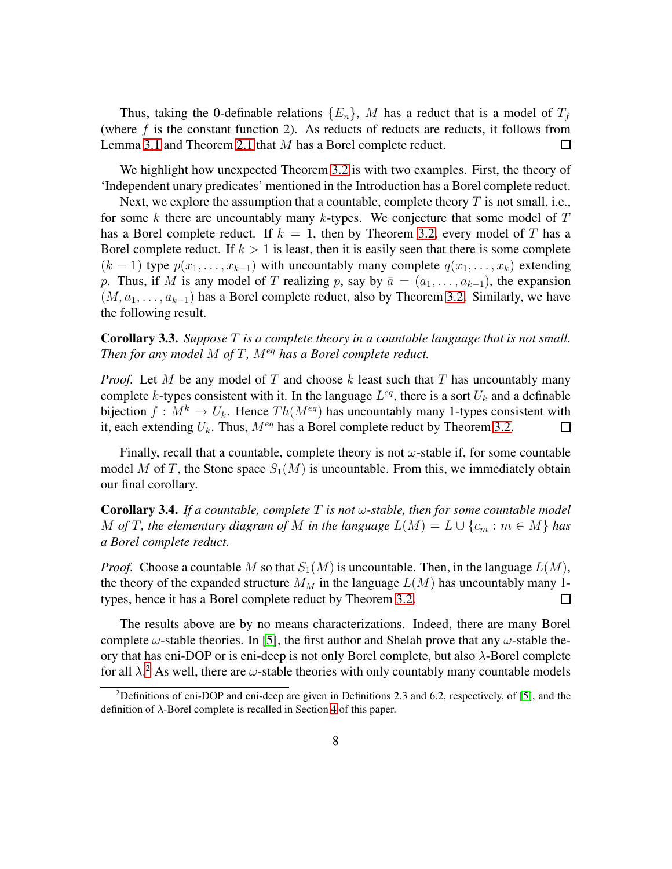Thus, taking the 0-definable relations  $\{E_n\}$ , M has a reduct that is a model of  $T_f$ (where  $f$  is the constant function 2). As reducts of reducts are reducts, it follows from Lemma [3.1](#page-5-0) and Theorem [2.1](#page-2-3) that M has a Borel complete reduct.  $\Box$ 

We highlight how unexpected Theorem [3.2](#page-6-0) is with two examples. First, the theory of 'Independent unary predicates' mentioned in the Introduction has a Borel complete reduct.

Next, we explore the assumption that a countable, complete theory  $T$  is not small, i.e., for some k there are uncountably many k-types. We conjecture that some model of  $T$ has a Borel complete reduct. If  $k = 1$ , then by Theorem [3.2,](#page-6-0) every model of T has a Borel complete reduct. If  $k > 1$  is least, then it is easily seen that there is some complete  $(k-1)$  type  $p(x_1, \ldots, x_{k-1})$  with uncountably many complete  $q(x_1, \ldots, x_k)$  extending p. Thus, if M is any model of T realizing p, say by  $\bar{a} = (a_1, \ldots, a_{k-1})$ , the expansion  $(M, a_1, \ldots, a_{k-1})$  has a Borel complete reduct, also by Theorem [3.2.](#page-6-0) Similarly, we have the following result.

Corollary 3.3. *Suppose* T *is a complete theory in a countable language that is not small. Then for any model M of T, M<sup>eq</sup> has a Borel complete reduct.* 

*Proof.* Let M be any model of T and choose  $k$  least such that T has uncountably many complete k-types consistent with it. In the language  $L^{eq}$ , there is a sort  $U_k$  and a definable bijection  $f : M^k \to U_k$ . Hence  $Th(M^{eq})$  has uncountably many 1-types consistent with it, each extending  $U_k$ . Thus,  $M^{eq}$  has a Borel complete reduct by Theorem [3.2.](#page-6-0)  $\Box$ 

Finally, recall that a countable, complete theory is not  $\omega$ -stable if, for some countable model M of T, the Stone space  $S_1(M)$  is uncountable. From this, we immediately obtain our final corollary.

**Corollary 3.4.** If a countable, complete  $T$  is not  $\omega$ -stable, then for some countable model M of T, the elementary diagram of M in the language  $L(M) = L \cup \{c_m : m \in M\}$  has *a Borel complete reduct.*

*Proof.* Choose a countable M so that  $S_1(M)$  is uncountable. Then, in the language  $L(M)$ , the theory of the expanded structure  $M_M$  in the language  $L(M)$  has uncountably many 1types, hence it has a Borel complete reduct by Theorem [3.2.](#page-6-0)  $\Box$ 

The results above are by no means characterizations. Indeed, there are many Borel complete  $\omega$ -stable theories. In [\[5\]](#page-10-4), the first author and Shelah prove that any  $\omega$ -stable theory that has eni-DOP or is eni-deep is not only Borel complete, but also  $\lambda$ -Borel complete for all  $\lambda$ .<sup>[2](#page-7-0)</sup> As well, there are  $\omega$ -stable theories with only countably many countable models

<span id="page-7-0"></span><sup>&</sup>lt;sup>2</sup>Definitions of eni-DOP and eni-deep are given in Definitions 2.3 and 6.2, respectively, of [\[5\]](#page-10-4), and the definition of  $\lambda$ -Borel complete is recalled in Section [4](#page-9-0) of this paper.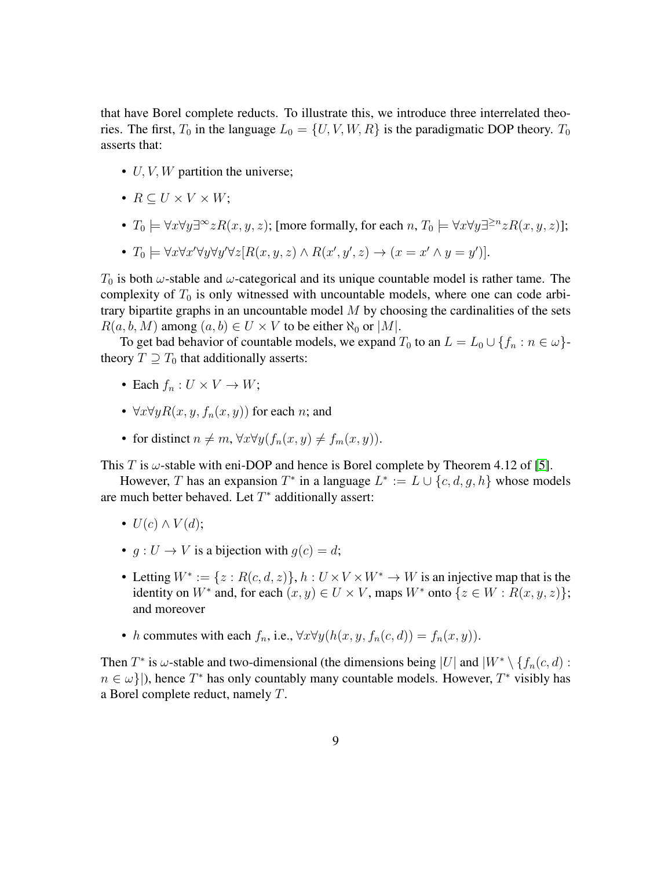that have Borel complete reducts. To illustrate this, we introduce three interrelated theories. The first,  $T_0$  in the language  $L_0 = \{U, V, W, R\}$  is the paradigmatic DOP theory.  $T_0$ asserts that:

- $U, V, W$  partition the universe;
- $R \subseteq U \times V \times W$ ;
- $T_0 \models \forall x \forall y \exists^\infty z R(x, y, z)$ ; [more formally, for each  $n, T_0 \models \forall x \forall y \exists^{\geq n} z R(x, y, z)$ ];
- $T_0 \models \forall x \forall x' \forall y \forall y' \forall z [R(x, y, z) \land R(x', y', z) \rightarrow (x = x' \land y = y')].$

 $T_0$  is both  $\omega$ -stable and  $\omega$ -categorical and its unique countable model is rather tame. The complexity of  $T_0$  is only witnessed with uncountable models, where one can code arbitrary bipartite graphs in an uncountable model  $M$  by choosing the cardinalities of the sets  $R(a, b, M)$  among  $(a, b) \in U \times V$  to be either  $\aleph_0$  or  $|M|$ .

To get bad behavior of countable models, we expand  $T_0$  to an  $L = L_0 \cup \{f_n : n \in \omega\}$ theory  $T \supseteq T_0$  that additionally asserts:

- Each  $f_n: U \times V \to W$ ;
- $\forall x \forall y R(x, y, f_n(x, y))$  for each *n*; and
- for distinct  $n \neq m$ ,  $\forall x \forall y (f_n(x, y) \neq f_m(x, y)).$

This T is  $\omega$ -stable with eni-DOP and hence is Borel complete by Theorem 4.12 of [\[5\]](#page-10-4).

However, T has an expansion  $T^*$  in a language  $L^* := L \cup \{c, d, g, h\}$  whose models are much better behaved. Let  $T^*$  additionally assert:

- $U(c) \wedge V(d)$ ;
- $q: U \to V$  is a bijection with  $q(c) = d$ ;
- Letting  $W^* := \{z : R(c, d, z)\}, h : U \times V \times W^* \to W$  is an injective map that is the identity on  $W^*$  and, for each  $(x, y) \in U \times V$ , maps  $W^*$  onto  $\{z \in W : R(x, y, z)\};$ and moreover
- h commutes with each  $f_n$ , i.e.,  $\forall x \forall y (h(x, y, f_n(c, d)) = f_n(x, y))$ .

Then  $T^*$  is  $\omega$ -stable and two-dimensional (the dimensions being |U| and  $|W^* \setminus \{f_n(c, d) :$  $n \in \omega$ }), hence  $T^*$  has only countably many countable models. However,  $T^*$  visibly has a Borel complete reduct, namely T.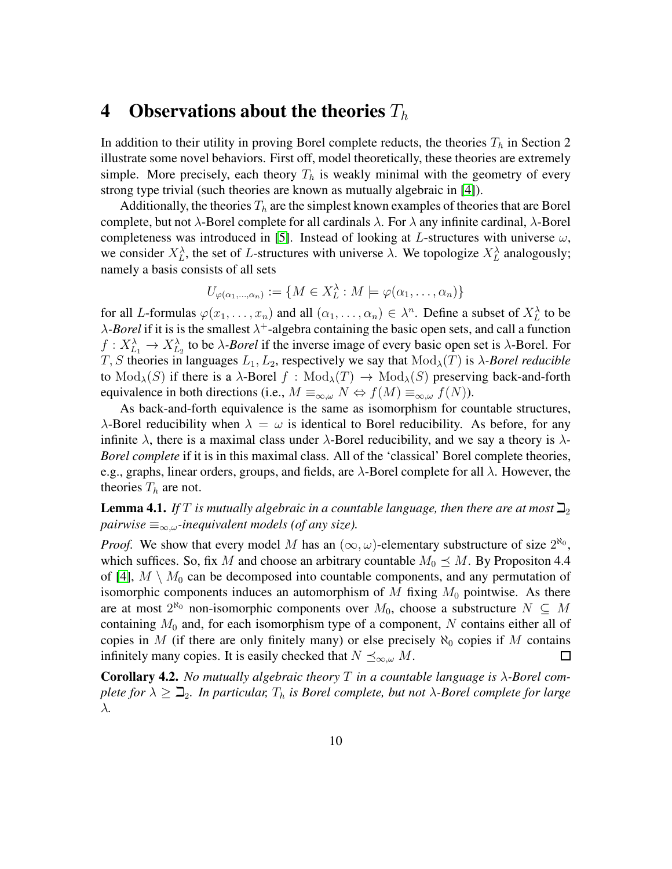#### <span id="page-9-0"></span>4 Observations about the theories  $T_h$

In addition to their utility in proving Borel complete reducts, the theories  $T_h$  in Section 2 illustrate some novel behaviors. First off, model theoretically, these theories are extremely simple. More precisely, each theory  $T<sub>h</sub>$  is weakly minimal with the geometry of every strong type trivial (such theories are known as mutually algebraic in [\[4\]](#page-10-5)).

Additionally, the theories  $T<sub>h</sub>$  are the simplest known examples of theories that are Borel complete, but not  $\lambda$ -Borel complete for all cardinals  $\lambda$ . For  $\lambda$  any infinite cardinal,  $\lambda$ -Borel completeness was introduced in [\[5\]](#page-10-4). Instead of looking at L-structures with universe  $\omega$ , we consider  $X_L^{\lambda}$ , the set of L-structures with universe  $\lambda$ . We topologize  $X_L^{\lambda}$  analogously; namely a basis consists of all sets

$$
U_{\varphi(\alpha_1,\ldots,\alpha_n)} := \{ M \in X_L^{\lambda} : M \models \varphi(\alpha_1,\ldots,\alpha_n) \}
$$

for all L-formulas  $\varphi(x_1,\ldots,x_n)$  and all  $(\alpha_1,\ldots,\alpha_n) \in \lambda^n$ . Define a subset of  $X_L^{\lambda}$  to be  $\lambda$ -*Borel* if it is is the smallest  $\lambda^+$ -algebra containing the basic open sets, and call a function  $f: X_{L_1}^{\lambda} \to X_{L_2}^{\lambda}$  to be  $\lambda$ -*Borel* if the inverse image of every basic open set is  $\lambda$ -Borel. For T, S theories in languages  $L_1, L_2$ , respectively we say that  $Mod_{\lambda}(T)$  is  $\lambda$ -Borel reducible to  $Mod_{\lambda}(S)$  if there is a  $\lambda$ -Borel  $f: Mod_{\lambda}(T) \to Mod_{\lambda}(S)$  preserving back-and-forth equivalence in both directions (i.e.,  $M \equiv_{\infty,\omega} N \Leftrightarrow f(M) \equiv_{\infty,\omega} f(N)$ ).

As back-and-forth equivalence is the same as isomorphism for countable structures,  $\lambda$ -Borel reducibility when  $\lambda = \omega$  is identical to Borel reducibility. As before, for any infinite  $\lambda$ , there is a maximal class under  $\lambda$ -Borel reducibility, and we say a theory is  $\lambda$ -*Borel complete* if it is in this maximal class. All of the 'classical' Borel complete theories, e.g., graphs, linear orders, groups, and fields, are  $\lambda$ -Borel complete for all  $\lambda$ . However, the theories  $T_h$  are not.

**Lemma 4.1.** *If* T is mutually algebraic in a countable language, then there are at most  $\mathbb{Z}_2$ *pairwise*  $\equiv_{\infty,\omega}$ -inequivalent models (of any size).

*Proof.* We show that every model M has an  $(\infty, \omega)$ -elementary substructure of size  $2^{\aleph_0}$ , which suffices. So, fix M and choose an arbitrary countable  $M_0 \preceq M$ . By Propositon 4.4 of [\[4\]](#page-10-5),  $M \setminus M_0$  can be decomposed into countable components, and any permutation of isomorphic components induces an automorphism of M fixing  $M_0$  pointwise. As there are at most  $2^{\aleph_0}$  non-isomorphic components over  $M_0$ , choose a substructure  $N \subseteq M$ containing  $M_0$  and, for each isomorphism type of a component, N contains either all of copies in M (if there are only finitely many) or else precisely  $\aleph_0$  copies if M contains infinitely many copies. It is easily checked that  $N \preceq_{\infty,\omega} M$ . □

Corollary 4.2. *No mutually algebraic theory* T *in a countable language is* λ*-Borel complete for*  $\lambda \geq \mathbb{Z}_2$ *. In particular,*  $T_h$  *is Borel complete, but not*  $\lambda$ *-Borel complete for large* λ*.*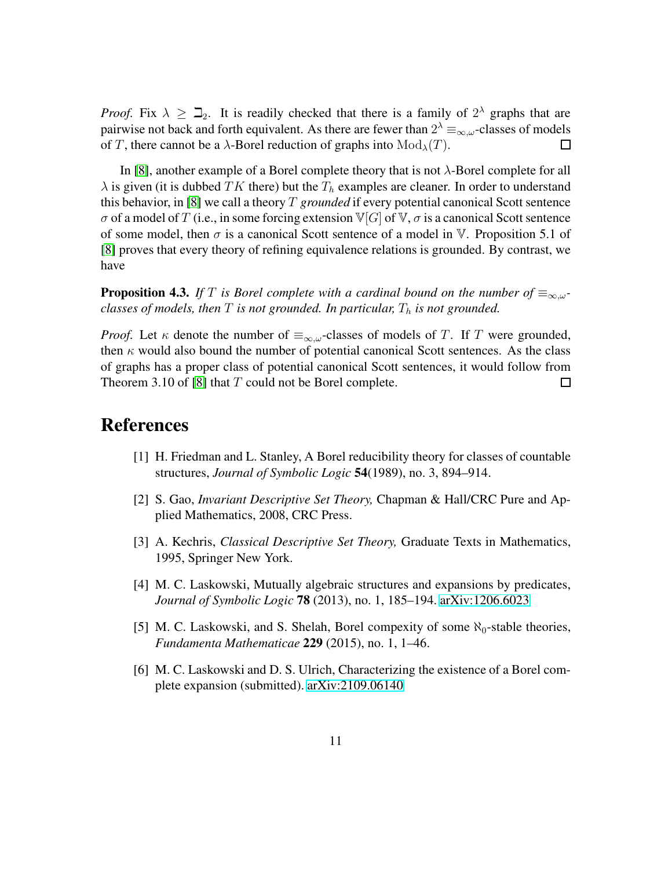*Proof.* Fix  $\lambda \geq \mathbb{Z}_2$ . It is readily checked that there is a family of  $2^{\lambda}$  graphs that are pairwise not back and forth equivalent. As there are fewer than  $2^{\lambda} \equiv_{\infty,\omega}$ -classes of models of T, there cannot be a  $\lambda$ -Borel reduction of graphs into  $Mod_{\lambda}(T)$ .  $\Box$ 

In [\[8\]](#page-11-0), another example of a Borel complete theory that is not  $\lambda$ -Borel complete for all  $\lambda$  is given (it is dubbed TK there) but the  $T_h$  examples are cleaner. In order to understand this behavior, in [\[8\]](#page-11-0) we call a theory T *grounded* if every potential canonical Scott sentence  $\sigma$  of a model of T (i.e., in some forcing extension  $\mathbb{V}[G]$  of  $\mathbb{V}, \sigma$  is a canonical Scott sentence of some model, then  $\sigma$  is a canonical Scott sentence of a model in V. Proposition 5.1 of [\[8\]](#page-11-0) proves that every theory of refining equivalence relations is grounded. By contrast, we have

**Proposition 4.3.** If T is Borel complete with a cardinal bound on the number of  $\equiv_{\infty,\omega}$ *classes of models, then*  $T$  *is not grounded. In particular,*  $T_h$  *is not grounded.* 

*Proof.* Let  $\kappa$  denote the number of  $\equiv_{\infty,\omega}$ -classes of models of T. If T were grounded, then  $\kappa$  would also bound the number of potential canonical Scott sentences. As the class of graphs has a proper class of potential canonical Scott sentences, it would follow from Theorem 3.10 of [\[8\]](#page-11-0) that  $T$  could not be Borel complete. ப

# <span id="page-10-0"></span>References

- <span id="page-10-2"></span>[1] H. Friedman and L. Stanley, A Borel reducibility theory for classes of countable structures, *Journal of Symbolic Logic* 54(1989), no. 3, 894–914.
- <span id="page-10-1"></span>[2] S. Gao, *Invariant Descriptive Set Theory,* Chapman & Hall/CRC Pure and Applied Mathematics, 2008, CRC Press.
- <span id="page-10-5"></span>[3] A. Kechris, *Classical Descriptive Set Theory,* Graduate Texts in Mathematics, 1995, Springer New York.
- <span id="page-10-4"></span>[4] M. C. Laskowski, Mutually algebraic structures and expansions by predicates, *Journal of Symbolic Logic* 78 (2013), no. 1, 185–194. [arXiv:1206.6023](http://arxiv.org/abs/1206.6023)
- [5] M. C. Laskowski, and S. Shelah, Borel compexity of some  $\aleph_0$ -stable theories, *Fundamenta Mathematicae* 229 (2015), no. 1, 1–46.
- <span id="page-10-3"></span>[6] M. C. Laskowski and D. S. Ulrich, Characterizing the existence of a Borel complete expansion (submitted). [arXiv:2109.06140](http://arxiv.org/abs/2109.06140)